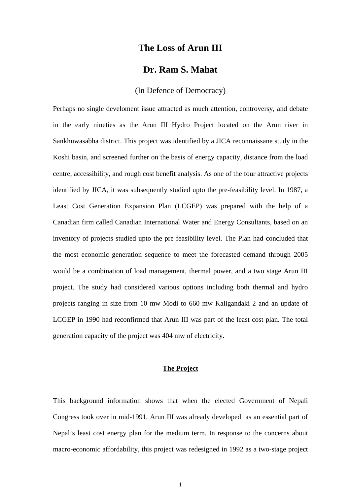## **The Loss of Arun III**

# **Dr. Ram S. Mahat**

## (In Defence of Democracy)

Perhaps no single develoment issue attracted as much attention, controversy, and debate in the early nineties as the Arun III Hydro Project located on the Arun river in Sankhuwasabha district. This project was identified by a JICA reconnaissane study in the Koshi basin, and screened further on the basis of energy capacity, distance from the load centre, accessibility, and rough cost benefit analysis. As one of the four attractive projects identified by JICA, it was subsequently studied upto the pre-feasibility level. In 1987, a Least Cost Generation Expansion Plan (LCGEP) was prepared with the help of a Canadian firm called Canadian International Water and Energy Consultants, based on an inventory of projects studied upto the pre feasibility level. The Plan had concluded that the most economic generation sequence to meet the forecasted demand through 2005 would be a combination of load management, thermal power, and a two stage Arun III project. The study had considered various options including both thermal and hydro projects ranging in size from 10 mw Modi to 660 mw Kaligandaki 2 and an update of LCGEP in 1990 had reconfirmed that Arun III was part of the least cost plan. The total generation capacity of the project was 404 mw of electricity.

### **The Project**

This background information shows that when the elected Government of Nepali Congress took over in mid-1991, Arun III was already developed as an essential part of Nepal's least cost energy plan for the medium term. In response to the concerns about macro-economic affordability, this project was redesigned in 1992 as a two-stage project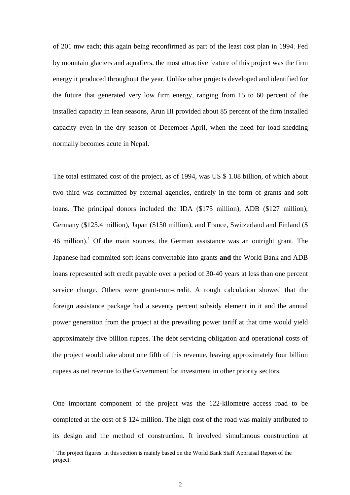of 201 mw each; this again being reconfirmed as part of the least cost plan in 1994. Fed by mountain glaciers and aquafiers, the most attractive feature of this project was the firm energy it produced throughout the year. Unlike other projects developed and identified for the future that generated very low firm energy, ranging from 15 to 60 percent of the installed capacity in lean seasons, Arun III provided about 85 percent of the firm installed capacity even in the dry season of December-April, when the need for load-shedding normally becomes acute in Nepal.

The total estimated cost of the project, as of 1994, was US \$ 1.08 billion, of which about two third was committed by external agencies, entirely in the form of grants and soft loans. The principal donors included the IDA (\$175 million), ADB (\$127 million), Germany (\$125.4 million), Japan (\$150 million), and France, Switzerland and Finland (\$  $46$  million).<sup>1</sup> Of the main sources, the German assistance was an outright grant. The Japanese had commited soft loans convertable into grants **and** the World Bank and ADB loans represented soft credit payable over a period of 30-40 years at less than one percent service charge. Others were grant-cum-credit. A rough calculation showed that the foreign assistance package had a seventy percent subsidy element in it and the annual power generation from the project at the prevailing power tariff at that time would yield approximately five billion rupees. The debt servicing obligation and operational costs of the project would take about one fifth of this revenue, leaving approximately four billion rupees as net revenue to the Government for investment in other priority sectors.

One important component of the project was the 122-kilometre access road to be completed at the cost of \$ 124 million. The high cost of the road was mainly attributed to its design and the method of construction. It involved simultanous construction at

<span id="page-1-0"></span><sup>|&</sup>lt;br>|<br>|  $1$ <sup>1</sup> The project figures in this section is mainly based on the World Bank Staff Appraisal Report of the project.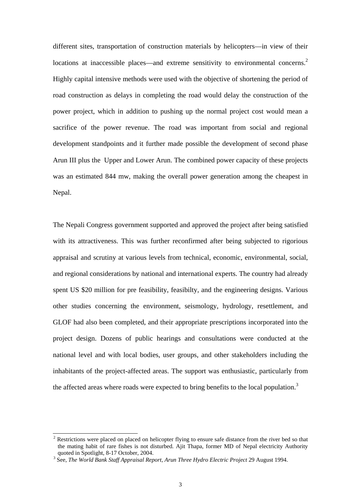different sites, transportation of construction materials by helicopters—in view of their locations at inaccessible places—and extreme sensitivity to environmental concerns.<sup>2</sup> Highly capital intensive methods were used with the objective of shortening the period of road construction as delays in completing the road would delay the construction of the power project, which in addition to pushing up the normal project cost would mean a sacrifice of the power revenue. The road was important from social and regional development standpoints and it further made possible the development of second phase Arun III plus the Upper and Lower Arun. The combined power capacity of these projects was an estimated 844 mw, making the overall power generation among the cheapest in Nepal.

The Nepali Congress government supported and approved the project after being satisfied with its attractiveness. This was further reconfirmed after being subjected to rigorious appraisal and scrutiny at various levels from technical, economic, environmental, social, and regional considerations by national and international experts. The country had already spent US \$20 million for pre feasibility, feasibilty, and the engineering designs. Various other studies concerning the environment, seismology, hydrology, resettlement, and GLOF had also been completed, and their appropriate prescriptions incorporated into the project design. Dozens of public hearings and consultations were conducted at the national level and with local bodies, user groups, and other stakeholders including the inhabitants of the project-affected areas. The support was enthusiastic, particularly from the affected areas where roads were expected to bring benefits to the local population.<sup>3</sup>

<span id="page-2-0"></span><sup>&</sup>lt;sup>2</sup> Restrictions were placed on placed on helicopter flying to ensure safe distance from the river bed so that the mating habit of rare fishes is not disturbed. Ajit Thapa, former MD of Nepal electricity Authority quoted in Spotlight, 8-17 October, 2004.

<span id="page-2-1"></span><sup>&</sup>lt;sup>3</sup> See, *The World Bank Staff Appraisal Report, Arun Three Hydro Electric Project* 29 August 1994.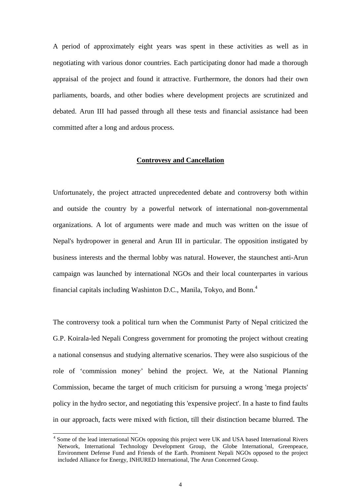A period of approximately eight years was spent in these activities as well as in negotiating with various donor countries. Each participating donor had made a thorough appraisal of the project and found it attractive. Furthermore, the donors had their own parliaments, boards, and other bodies where development projects are scrutinized and debated. Arun III had passed through all these tests and financial assistance had been committed after a long and ardous process.

#### **Controvesy and Cancellation**

Unfortunately, the project attracted unprecedented debate and controversy both within and outside the country by a powerful network of international non-governmental organizations. A lot of arguments were made and much was written on the issue of Nepal's hydropower in general and Arun III in particular. The opposition instigated by business interests and the thermal lobby was natural. However, the staunchest anti-Arun campaign was launched by international NGOs and their local counterpartes in various financial capitals including Washinton D.C., Manila, Tokyo, and Bonn.<sup>[4](#page-3-0)</sup>

The controversy took a political turn when the Communist Party of Nepal criticized the G.P. Koirala-led Nepali Congress government for promoting the project without creating a national consensus and studying alternative scenarios. They were also suspicious of the role of 'commission money' behind the project. We, at the National Planning Commission, became the target of much criticism for pursuing a wrong 'mega projects' policy in the hydro sector, and negotiating this 'expensive project'. In a haste to find faults in our approach, facts were mixed with fiction, till their distinction became blurred. The

<span id="page-3-0"></span> <sup>4</sup> Some of the lead international NGOs opposing this project were UK and USA based International Rivers Network, International Technology Development Group, the Globe International, Greenpeace, Environment Defense Fund and Friends of the Earth. Prominent Nepali NGOs opposed to the project included Alliance for Energy, INHURED International, The Arun Concerned Group.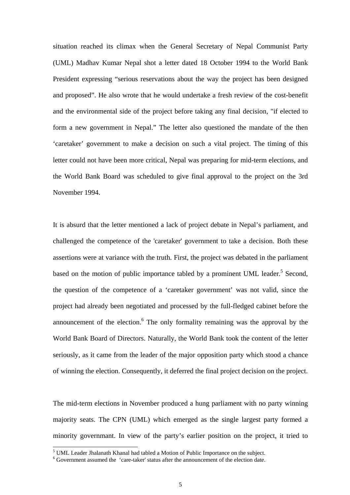situation reached its climax when the General Secretary of Nepal Communist Party (UML) Madhav Kumar Nepal shot a letter dated 18 October 1994 to the World Bank President expressing "serious reservations about the way the project has been designed and proposed". He also wrote that he would undertake a fresh review of the cost-benefit and the environmental side of the project before taking any final decision, "if elected to form a new government in Nepal." The letter also questioned the mandate of the then 'caretaker' government to make a decision on such a vital project. The timing of this letter could not have been more critical, Nepal was preparing for mid-term elections, and the World Bank Board was scheduled to give final approval to the project on the 3rd November 1994.

It is absurd that the letter mentioned a lack of project debate in Nepal's parliament, and challenged the competence of the 'caretaker' government to take a decision. Both these assertions were at variance with the truth. First, the project was debated in the parliament based on the motion of public importance tabled by a prominent UML leader.<sup>5</sup> Second, the question of the competence of a 'caretaker government' was not valid, since the project had already been negotiated and processed by the full-fledged cabinet before the announcement of the election.<sup>6</sup> The only formality remaining was the approval by the World Bank Board of Directors. Naturally, the World Bank took the content of the letter seriously, as it came from the leader of the major opposition party which stood a chance of winning the election. Consequently, it deferred the final project decision on the project.

The mid-term elections in November produced a hung parliament with no party winning majority seats. The CPN (UML) which emerged as the single largest party formed a minority governmant. In view of the party's earlier position on the project, it tried to

<span id="page-4-0"></span> <sup>5</sup> <sup>5</sup> UML Leader Jhalanath Khanal had tabled a Motion of Public Importance on the subject.

<span id="page-4-1"></span> $6$  Government assumed the 'care-taker' status after the announcement of the election date.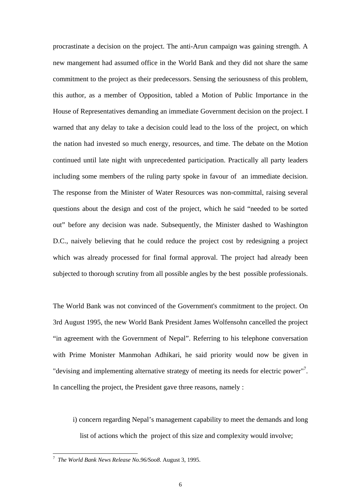procrastinate a decision on the project. The anti-Arun campaign was gaining strength. A new mangement had assumed office in the World Bank and they did not share the same commitment to the project as their predecessors. Sensing the seriousness of this problem, this author, as a member of Opposition, tabled a Motion of Public Importance in the House of Representatives demanding an immediate Government decision on the project. I warned that any delay to take a decision could lead to the loss of the project, on which the nation had invested so much energy, resources, and time. The debate on the Motion continued until late night with unprecedented participation. Practically all party leaders including some members of the ruling party spoke in favour of an immediate decision. The response from the Minister of Water Resources was non-committal, raising several questions about the design and cost of the project, which he said "needed to be sorted out" before any decision was nade. Subsequently, the Minister dashed to Washington D.C., naively believing that he could reduce the project cost by redesigning a project which was already processed for final formal approval. The project had already been subjected to thorough scrutiny from all possible angles by the best possible professionals.

The World Bank was not convinced of the Government's commitment to the project. On 3rd August 1995, the new World Bank President James Wolfensohn cancelled the project "in agreement with the Government of Nepal". Referring to his telephone conversation with Prime Monister Manmohan Adhikari, he said priority would now be given in "devising and implementing alternative strategy of meeting its needs for electric power"<sup>[7](#page-5-0)</sup>. In cancelling the project, the President gave three reasons, namely :

i) concern regarding Nepal's management capability to meet the demands and long list of actions which the project of this size and complexity would involve;

<span id="page-5-0"></span><sup>-&</sup>lt;br>7 *The World Bank News Release No.96/Soo8*. August 3, 1995.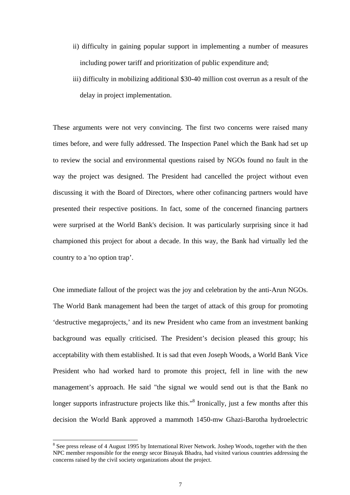- ii) difficulty in gaining popular support in implementing a number of measures including power tariff and prioritization of public expenditure and;
- iii) difficulty in mobilizing additional \$30-40 million cost overrun as a result of the delay in project implementation.

These arguments were not very convincing. The first two concerns were raised many times before, and were fully addressed. The Inspection Panel which the Bank had set up to review the social and environmental questions raised by NGOs found no fault in the way the project was designed. The President had cancelled the project without even discussing it with the Board of Directors, where other cofinancing partners would have presented their respective positions. In fact, some of the concerned financing partners were surprised at the World Bank's decision. It was particularly surprising since it had championed this project for about a decade. In this way, the Bank had virtually led the country to a 'no option trap'.

One immediate fallout of the project was the joy and celebration by the anti-Arun NGOs. The World Bank management had been the target of attack of this group for promoting 'destructive megaprojects,' and its new President who came from an investment banking background was equally criticised. The President's decision pleased this group; his acceptability with them established. It is sad that even Joseph Woods, a World Bank Vice President who had worked hard to promote this project, fell in line with the new management's approach. He said "the signal we would send out is that the Bank no longer supports infrastructure projects like this."<sup>8</sup> Ironically, just a few months after this decision the World Bank approved a mammoth 1450-mw Ghazi-Barotha hydroelectric

<span id="page-6-0"></span> <sup>8</sup> <sup>8</sup> See press release of 4 August 1995 by International River Network. Joshep Woods, together with the then NPC member responsible for the energy secor Binayak Bhadra, had visited various countries addressing the concerns raised by the civil society organizations about the project.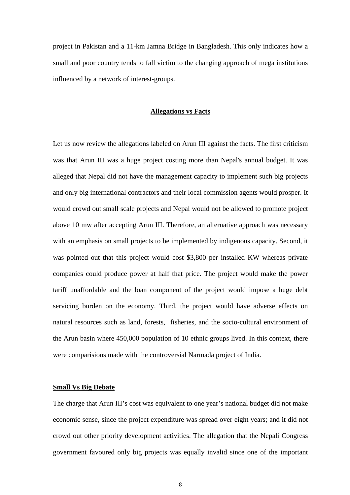project in Pakistan and a 11-km Jamna Bridge in Bangladesh. This only indicates how a small and poor country tends to fall victim to the changing approach of mega institutions influenced by a network of interest-groups.

#### **Allegations vs Facts**

Let us now review the allegations labeled on Arun III against the facts. The first criticism was that Arun III was a huge project costing more than Nepal's annual budget. It was alleged that Nepal did not have the management capacity to implement such big projects and only big international contractors and their local commission agents would prosper. It would crowd out small scale projects and Nepal would not be allowed to promote project above 10 mw after accepting Arun III. Therefore, an alternative approach was necessary with an emphasis on small projects to be implemented by indigenous capacity. Second, it was pointed out that this project would cost \$3,800 per installed KW whereas private companies could produce power at half that price. The project would make the power tariff unaffordable and the loan component of the project would impose a huge debt servicing burden on the economy. Third, the project would have adverse effects on natural resources such as land, forests, fisheries, and the socio-cultural environment of the Arun basin where 450,000 population of 10 ethnic groups lived. In this context, there were comparisions made with the controversial Narmada project of India.

#### **Small Vs Big Debate**

The charge that Arun III's cost was equivalent to one year's national budget did not make economic sense, since the project expenditure was spread over eight years; and it did not crowd out other priority development activities. The allegation that the Nepali Congress government favoured only big projects was equally invalid since one of the important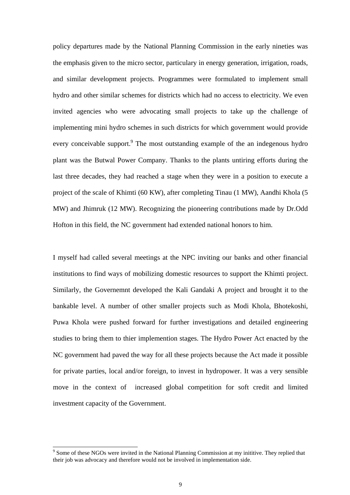policy departures made by the National Planning Commission in the early nineties was the emphasis given to the micro sector, particulary in energy generation, irrigation, roads, and similar development projects. Programmes were formulated to implement small hydro and other similar schemes for districts which had no access to electricity. We even invited agencies who were advocating small projects to take up the challenge of implementing mini hydro schemes in such districts for which government would provide every conceivable support.<sup>9</sup> The most outstanding example of the an indegenous hydro plant was the Butwal Power Company. Thanks to the plants untiring efforts during the last three decades, they had reached a stage when they were in a position to execute a project of the scale of Khimti (60 KW), after completing Tinau (1 MW), Aandhi Khola (5 MW) and Jhimruk (12 MW). Recognizing the pioneering contributions made by Dr.Odd Hofton in this field, the NC government had extended national honors to him.

I myself had called several meetings at the NPC inviting our banks and other financial institutions to find ways of mobilizing domestic resources to support the Khimti project. Similarly, the Governemnt developed the Kali Gandaki A project and brought it to the bankable level. A number of other smaller projects such as Modi Khola, Bhotekoshi, Puwa Khola were pushed forward for further investigations and detailed engineering studies to bring them to thier implemention stages. The Hydro Power Act enacted by the NC government had paved the way for all these projects because the Act made it possible for private parties, local and/or foreign, to invest in hydropower. It was a very sensible move in the context of increased global competition for soft credit and limited investment capacity of the Government.

<span id="page-8-0"></span><sup>9</sup> <sup>9</sup> Some of these NGOs were invited in the National Planning Commission at my inititive. They replied that their job was advocacy and therefore would not be involved in implementation side.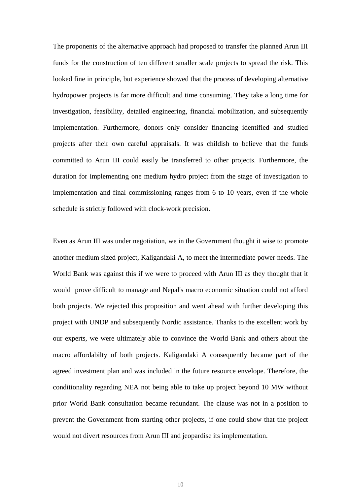The proponents of the alternative approach had proposed to transfer the planned Arun III funds for the construction of ten different smaller scale projects to spread the risk. This looked fine in principle, but experience showed that the process of developing alternative hydropower projects is far more difficult and time consuming. They take a long time for investigation, feasibility, detailed engineering, financial mobilization, and subsequently implementation. Furthermore, donors only consider financing identified and studied projects after their own careful appraisals. It was childish to believe that the funds committed to Arun III could easily be transferred to other projects. Furthermore, the duration for implementing one medium hydro project from the stage of investigation to implementation and final commissioning ranges from 6 to 10 years, even if the whole schedule is strictly followed with clock-work precision.

Even as Arun III was under negotiation, we in the Government thought it wise to promote another medium sized project, Kaligandaki A, to meet the intermediate power needs. The World Bank was against this if we were to proceed with Arun III as they thought that it would prove difficult to manage and Nepal's macro economic situation could not afford both projects. We rejected this proposition and went ahead with further developing this project with UNDP and subsequently Nordic assistance. Thanks to the excellent work by our experts, we were ultimately able to convince the World Bank and others about the macro affordabilty of both projects. Kaligandaki A consequently became part of the agreed investment plan and was included in the future resource envelope. Therefore, the conditionality regarding NEA not being able to take up project beyond 10 MW without prior World Bank consultation became redundant. The clause was not in a position to prevent the Government from starting other projects, if one could show that the project would not divert resources from Arun III and jeopardise its implementation.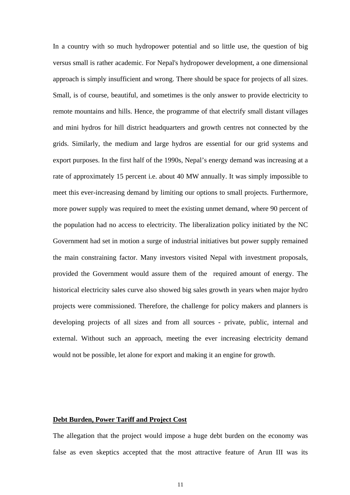In a country with so much hydropower potential and so little use, the question of big versus small is rather academic. For Nepal's hydropower development, a one dimensional approach is simply insufficient and wrong. There should be space for projects of all sizes. Small, is of course, beautiful, and sometimes is the only answer to provide electricity to remote mountains and hills. Hence, the programme of that electrify small distant villages and mini hydros for hill district headquarters and growth centres not connected by the grids. Similarly, the medium and large hydros are essential for our grid systems and export purposes. In the first half of the 1990s, Nepal's energy demand was increasing at a rate of approximately 15 percent i.e. about 40 MW annually. It was simply impossible to meet this ever-increasing demand by limiting our options to small projects. Furthermore, more power supply was required to meet the existing unmet demand, where 90 percent of the population had no access to electricity. The liberalization policy initiated by the NC Government had set in motion a surge of industrial initiatives but power supply remained the main constraining factor. Many investors visited Nepal with investment proposals, provided the Government would assure them of the required amount of energy. The historical electricity sales curve also showed big sales growth in years when major hydro projects were commissioned. Therefore, the challenge for policy makers and planners is developing projects of all sizes and from all sources - private, public, internal and external. Without such an approach, meeting the ever increasing electricity demand would not be possible, let alone for export and making it an engine for growth.

#### **Debt Burden, Power Tariff and Project Cost**

The allegation that the project would impose a huge debt burden on the economy was false as even skeptics accepted that the most attractive feature of Arun III was its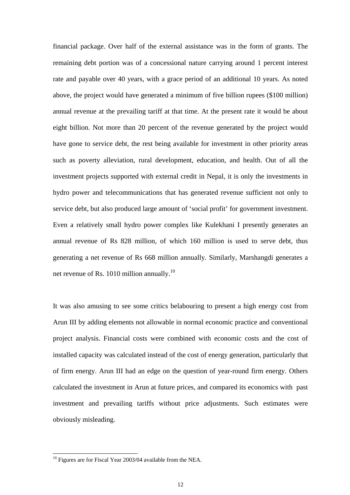financial package. Over half of the external assistance was in the form of grants. The remaining debt portion was of a concessional nature carrying around 1 percent interest rate and payable over 40 years, with a grace period of an additional 10 years. As noted above, the project would have generated a minimum of five billion rupees (\$100 million) annual revenue at the prevailing tariff at that time. At the present rate it would be about eight billion. Not more than 20 percent of the revenue generated by the project would have gone to service debt, the rest being available for investment in other priority areas such as poverty alleviation, rural development, education, and health. Out of all the investment projects supported with external credit in Nepal, it is only the investments in hydro power and telecommunications that has generated revenue sufficient not only to service debt, but also produced large amount of 'social profit' for government investment. Even a relatively small hydro power complex like Kulekhani I presently generates an annual revenue of Rs 828 million, of which 160 million is used to serve debt, thus generating a net revenue of Rs 668 million annually. Similarly, Marshangdi generates a net revenue of Rs. 10[10](#page-11-0) million annually. $^{10}$ 

It was also amusing to see some critics belabouring to present a high energy cost from Arun III by adding elements not allowable in normal economic practice and conventional project analysis. Financial costs were combined with economic costs and the cost of installed capacity was calculated instead of the cost of energy generation, particularly that of firm energy. Arun III had an edge on the question of year-round firm energy. Others calculated the investment in Arun at future prices, and compared its economics with past investment and prevailing tariffs without price adjustments. Such estimates were obviously misleading.

<span id="page-11-0"></span> $10$  Figures are for Fiscal Year 2003/04 available from the NEA.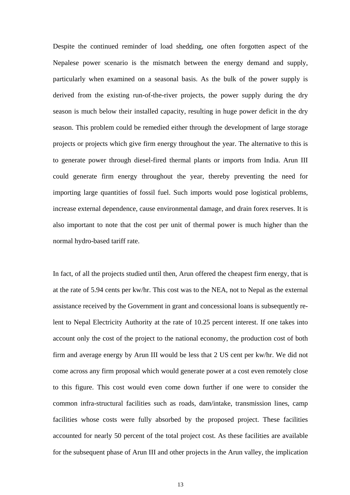Despite the continued reminder of load shedding, one often forgotten aspect of the Nepalese power scenario is the mismatch between the energy demand and supply, particularly when examined on a seasonal basis. As the bulk of the power supply is derived from the existing run-of-the-river projects, the power supply during the dry season is much below their installed capacity, resulting in huge power deficit in the dry season. This problem could be remedied either through the development of large storage projects or projects which give firm energy throughout the year. The alternative to this is to generate power through diesel-fired thermal plants or imports from India. Arun III could generate firm energy throughout the year, thereby preventing the need for importing large quantities of fossil fuel. Such imports would pose logistical problems, increase external dependence, cause environmental damage, and drain forex reserves. It is also important to note that the cost per unit of thermal power is much higher than the normal hydro-based tariff rate.

In fact, of all the projects studied until then, Arun offered the cheapest firm energy, that is at the rate of 5.94 cents per kw/hr. This cost was to the NEA, not to Nepal as the external assistance received by the Government in grant and concessional loans is subsequently relent to Nepal Electricity Authority at the rate of 10.25 percent interest. If one takes into account only the cost of the project to the national economy, the production cost of both firm and average energy by Arun III would be less that 2 US cent per kw/hr. We did not come across any firm proposal which would generate power at a cost even remotely close to this figure. This cost would even come down further if one were to consider the common infra-structural facilities such as roads, dam/intake, transmission lines, camp facilities whose costs were fully absorbed by the proposed project. These facilities accounted for nearly 50 percent of the total project cost. As these facilities are available for the subsequent phase of Arun III and other projects in the Arun valley, the implication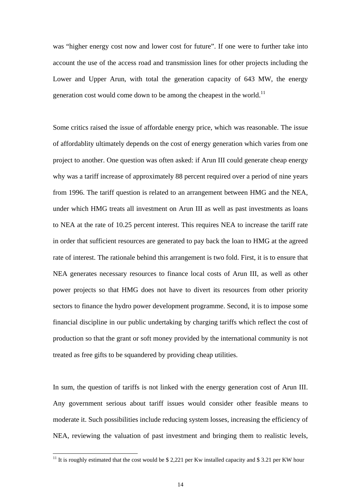was "higher energy cost now and lower cost for future". If one were to further take into account the use of the access road and transmission lines for other projects including the Lower and Upper Arun, with total the generation capacity of 643 MW, the energy generation cost would come down to be among the cheapest in the world.<sup>11</sup>

Some critics raised the issue of affordable energy price, which was reasonable. The issue of affordablity ultimately depends on the cost of energy generation which varies from one project to another. One question was often asked: if Arun III could generate cheap energy why was a tariff increase of approximately 88 percent required over a period of nine years from 1996. The tariff question is related to an arrangement between HMG and the NEA, under which HMG treats all investment on Arun III as well as past investments as loans to NEA at the rate of 10.25 percent interest. This requires NEA to increase the tariff rate in order that sufficient resources are generated to pay back the loan to HMG at the agreed rate of interest. The rationale behind this arrangement is two fold. First, it is to ensure that NEA generates necessary resources to finance local costs of Arun III, as well as other power projects so that HMG does not have to divert its resources from other priority sectors to finance the hydro power development programme. Second, it is to impose some financial discipline in our public undertaking by charging tariffs which reflect the cost of production so that the grant or soft money provided by the international community is not treated as free gifts to be squandered by providing cheap utilities.

In sum, the question of tariffs is not linked with the energy generation cost of Arun III. Any government serious about tariff issues would consider other feasible means to moderate it. Such possibilities include reducing system losses, increasing the efficiency of NEA, reviewing the valuation of past investment and bringing them to realistic levels,

<span id="page-13-0"></span><sup>&</sup>lt;sup>11</sup> It is roughly estimated that the cost would be \$ 2,221 per Kw installed capacity and \$ 3.21 per KW hour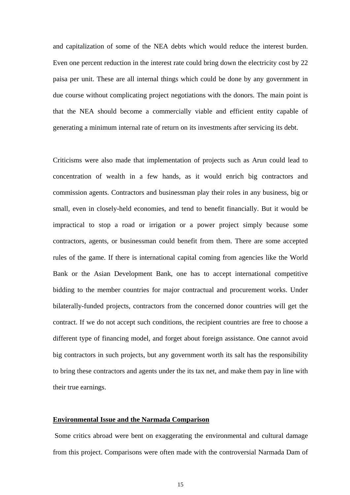and capitalization of some of the NEA debts which would reduce the interest burden. Even one percent reduction in the interest rate could bring down the electricity cost by 22 paisa per unit. These are all internal things which could be done by any government in due course without complicating project negotiations with the donors. The main point is that the NEA should become a commercially viable and efficient entity capable of generating a minimum internal rate of return on its investments after servicing its debt.

Criticisms were also made that implementation of projects such as Arun could lead to concentration of wealth in a few hands, as it would enrich big contractors and commission agents. Contractors and businessman play their roles in any business, big or small, even in closely-held economies, and tend to benefit financially. But it would be impractical to stop a road or irrigation or a power project simply because some contractors, agents, or businessman could benefit from them. There are some accepted rules of the game. If there is international capital coming from agencies like the World Bank or the Asian Development Bank, one has to accept international competitive bidding to the member countries for major contractual and procurement works. Under bilaterally-funded projects, contractors from the concerned donor countries will get the contract. If we do not accept such conditions, the recipient countries are free to choose a different type of financing model, and forget about foreign assistance. One cannot avoid big contractors in such projects, but any government worth its salt has the responsibility to bring these contractors and agents under the its tax net, and make them pay in line with their true earnings.

#### **Environmental Issue and the Narmada Comparison**

Some critics abroad were bent on exaggerating the environmental and cultural damage from this project. Comparisons were often made with the controversial Narmada Dam of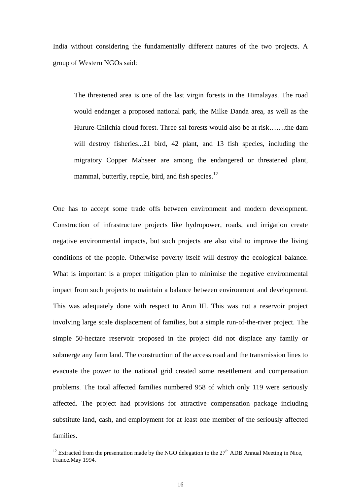India without considering the fundamentally different natures of the two projects. A group of Western NGOs said:

The threatened area is one of the last virgin forests in the Himalayas. The road would endanger a proposed national park, the Milke Danda area, as well as the Hurure-Chilchia cloud forest. Three sal forests would also be at risk…….the dam will destroy fisheries...21 bird, 42 plant, and 13 fish species, including the migratory Copper Mahseer are among the endangered or threatened plant, mammal, butterfly, reptile, bird, and fish species. $^{12}$  $^{12}$  $^{12}$ 

One has to accept some trade offs between environment and modern development. Construction of infrastructure projects like hydropower, roads, and irrigation create negative environmental impacts, but such projects are also vital to improve the living conditions of the people. Otherwise poverty itself will destroy the ecological balance. What is important is a proper mitigation plan to minimise the negative environmental impact from such projects to maintain a balance between environment and development. This was adequately done with respect to Arun III. This was not a reservoir project involving large scale displacement of families, but a simple run-of-the-river project. The simple 50-hectare reservoir proposed in the project did not displace any family or submerge any farm land. The construction of the access road and the transmission lines to evacuate the power to the national grid created some resettlement and compensation problems. The total affected families numbered 958 of which only 119 were seriously affected. The project had provisions for attractive compensation package including substitute land, cash, and employment for at least one member of the seriously affected families.

<span id="page-15-0"></span><sup>&</sup>lt;sup>12</sup> Extracted from the presentation made by the NGO delegation to the  $27<sup>th</sup>$  ADB Annual Meeting in Nice, France.May 1994.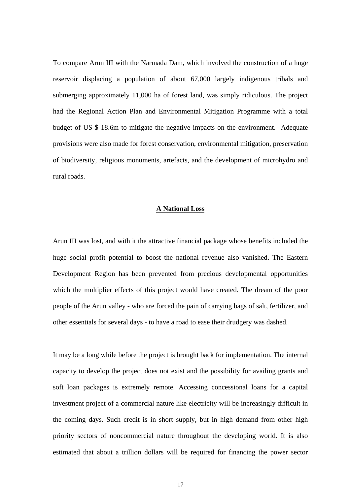To compare Arun III with the Narmada Dam, which involved the construction of a huge reservoir displacing a population of about 67,000 largely indigenous tribals and submerging approximately 11,000 ha of forest land, was simply ridiculous. The project had the Regional Action Plan and Environmental Mitigation Programme with a total budget of US \$ 18.6m to mitigate the negative impacts on the environment. Adequate provisions were also made for forest conservation, environmental mitigation, preservation of biodiversity, religious monuments, artefacts, and the development of microhydro and rural roads.

## **A National Loss**

Arun III was lost, and with it the attractive financial package whose benefits included the huge social profit potential to boost the national revenue also vanished. The Eastern Development Region has been prevented from precious developmental opportunities which the multiplier effects of this project would have created. The dream of the poor people of the Arun valley - who are forced the pain of carrying bags of salt, fertilizer, and other essentials for several days - to have a road to ease their drudgery was dashed.

It may be a long while before the project is brought back for implementation. The internal capacity to develop the project does not exist and the possibility for availing grants and soft loan packages is extremely remote. Accessing concessional loans for a capital investment project of a commercial nature like electricity will be increasingly difficult in the coming days. Such credit is in short supply, but in high demand from other high priority sectors of noncommercial nature throughout the developing world. It is also estimated that about a trillion dollars will be required for financing the power sector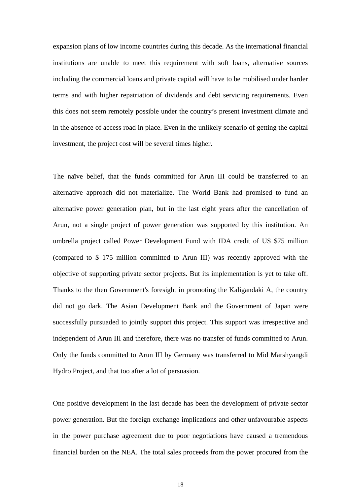expansion plans of low income countries during this decade. As the international financial institutions are unable to meet this requirement with soft loans, alternative sources including the commercial loans and private capital will have to be mobilised under harder terms and with higher repatriation of dividends and debt servicing requirements. Even this does not seem remotely possible under the country's present investment climate and in the absence of access road in place. Even in the unlikely scenario of getting the capital investment, the project cost will be several times higher.

The naïve belief, that the funds committed for Arun III could be transferred to an alternative approach did not materialize. The World Bank had promised to fund an alternative power generation plan, but in the last eight years after the cancellation of Arun, not a single project of power generation was supported by this institution. An umbrella project called Power Development Fund with IDA credit of US \$75 million (compared to \$ 175 million committed to Arun III) was recently approved with the objective of supporting private sector projects. But its implementation is yet to take off. Thanks to the then Government's foresight in promoting the Kaligandaki A, the country did not go dark. The Asian Development Bank and the Government of Japan were successfully pursuaded to jointly support this project. This support was irrespective and independent of Arun III and therefore, there was no transfer of funds committed to Arun. Only the funds committed to Arun III by Germany was transferred to Mid Marshyangdi Hydro Project, and that too after a lot of persuasion.

One positive development in the last decade has been the development of private sector power generation. But the foreign exchange implications and other unfavourable aspects in the power purchase agreement due to poor negotiations have caused a tremendous financial burden on the NEA. The total sales proceeds from the power procured from the